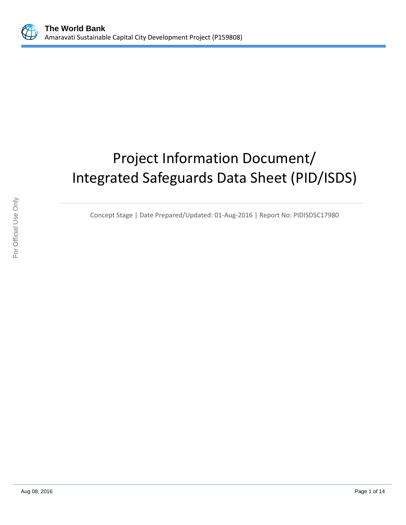

# Project Information Document/ Integrated Safeguards Data Sheet (PID/ISDS)

Concept Stage | Date Prepared/Updated: 01-Aug-2016 | Report No: PIDISDSC17980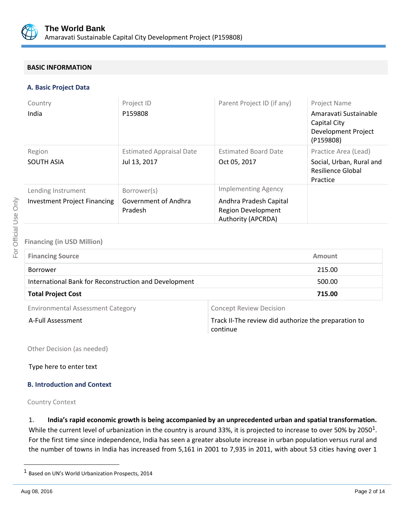

# **BASIC INFORMATION**

#### **A. Basic Project Data**

| Country                             | Project ID                      | Parent Project ID (if any)                                                       | Project Name                                                              |
|-------------------------------------|---------------------------------|----------------------------------------------------------------------------------|---------------------------------------------------------------------------|
| India                               | P159808                         |                                                                                  | Amaravati Sustainable<br>Capital City<br>Development Project<br>(P159808) |
| Region                              | <b>Estimated Appraisal Date</b> | <b>Estimated Board Date</b>                                                      | Practice Area (Lead)                                                      |
| <b>SOUTH ASIA</b>                   | Jul 13, 2017                    | Oct 05, 2017                                                                     | Social, Urban, Rural and<br>Resilience Global<br>Practice                 |
| Lending Instrument                  | Borrower(s)                     | <b>Implementing Agency</b>                                                       |                                                                           |
| <b>Investment Project Financing</b> | Government of Andhra<br>Pradesh | Andhra Pradesh Capital<br><b>Region Development</b><br><b>Authority (APCRDA)</b> |                                                                           |

# **Financing (in USD Million)**

| <b>Financing Source</b>                               | <b>Amount</b> |
|-------------------------------------------------------|---------------|
| Borrower                                              | 215.00        |
| International Bank for Reconstruction and Development | 500.00        |
| <b>Total Project Cost</b>                             | 715.00        |
|                                                       |               |

Environmental Assessment Category **Concept Review Decision** 

A-Full Assessment **A-Full Assessment Track II-The review did authorize the preparation to** continue

Other Decision (as needed)

Type here to enter text

## **B. Introduction and Context**

Country Context

1. **India's rapid economic growth is being accompanied by an unprecedented urban and spatial transformation.** While the current level of urbanization in the country is around 33%, it is projected to increase to over 50% by 2050<sup>1</sup>. For the first time since independence, India has seen a greater absolute increase in urban population versus rural and the number of towns in India has increased from 5,161 in 2001 to 7,935 in 2011, with about 53 cities having over 1

 $\overline{a}$ 

<sup>1</sup> Based on UN's World Urbanization Prospects, 2014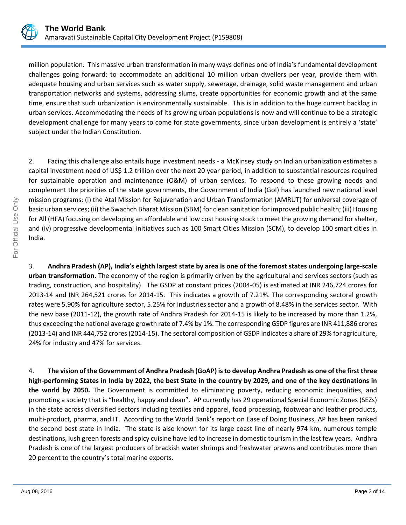

million population. This massive urban transformation in many ways defines one of India's fundamental development challenges going forward: to accommodate an additional 10 million urban dwellers per year, provide them with adequate housing and urban services such as water supply, sewerage, drainage, solid waste management and urban transportation networks and systems, addressing slums, create opportunities for economic growth and at the same time, ensure that such urbanization is environmentally sustainable. This is in addition to the huge current backlog in urban services. Accommodating the needs of its growing urban populations is now and will continue to be a strategic development challenge for many years to come for state governments, since urban development is entirely a 'state' subject under the Indian Constitution.

2. Facing this challenge also entails huge investment needs - a McKinsey study on Indian urbanization estimates a capital investment need of US\$ 1.2 trillion over the next 20 year period, in addition to substantial resources required for sustainable operation and maintenance (O&M) of urban services. To respond to these growing needs and complement the priorities of the state governments, the Government of India (GoI) has launched new national level mission programs: (i) the Atal Mission for Rejuvenation and Urban Transformation (AMRUT) for universal coverage of basic urban services; (ii) the Swachch Bharat Mission (SBM) for clean sanitation for improved public health; (iii) Housing for All (HFA) focusing on developing an affordable and low cost housing stock to meet the growing demand for shelter, and (iv) progressive developmental initiatives such as 100 Smart Cities Mission (SCM), to develop 100 smart cities in India.

3. **Andhra Pradesh (AP), India's eighth largest state by area is one of the foremost states undergoing large-scale urban transformation.** The economy of the region is primarily driven by the agricultural and services sectors (such as trading, construction, and hospitality). The GSDP at constant prices (2004-05) is estimated at INR 246,724 crores for 2013-14 and INR 264,521 crores for 2014-15. This indicates a growth of 7.21%. The corresponding sectoral growth rates were 5.90% for agriculture sector, 5.25% for industries sector and a growth of 8.48% in the services sector. With the new base (2011-12), the growth rate of Andhra Pradesh for 2014-15 is likely to be increased by more than 1.2%, thus exceeding the national average growth rate of 7.4% by 1%. The corresponding GSDP figures are INR 411,886 crores (2013-14) and INR 444,752 crores (2014-15). The sectoral composition of GSDP indicates a share of 29% for agriculture, 24% for industry and 47% for services.

4. **The vision of the Government of Andhra Pradesh (GoAP) is to develop Andhra Pradesh as one of the first three high-performing States in India by 2022, the best State in the country by 2029, and one of the key destinations in the world by 2050.** The Government is committed to eliminating poverty, reducing economic inequalities, and promoting a society that is "healthy, happy and clean". AP currently has 29 operational Special Economic Zones (SEZs) in the state across diversified sectors including textiles and apparel, food processing, footwear and leather products, multi-product, pharma, and IT. According to the World Bank's report on Ease of Doing Business, AP has been ranked the second best state in India. The state is also known for its large coast line of nearly 974 km, numerous temple destinations, lush green forests and spicy cuisine have led to increase in domestic tourism in the last few years. Andhra Pradesh is one of the largest producers of brackish water shrimps and freshwater prawns and contributes more than 20 percent to the country's total marine exports.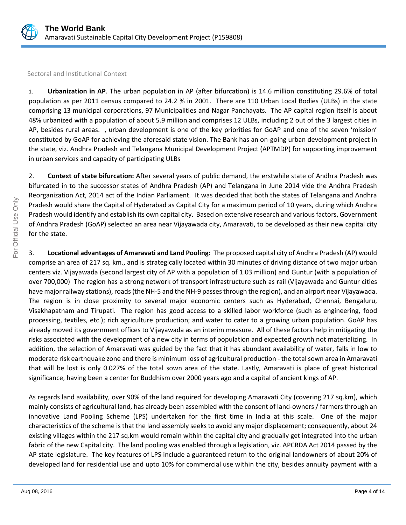

Sectoral and Institutional Context

1. **Urbanization in AP**. The urban population in AP (after bifurcation) is 14.6 million constituting 29.6% of total population as per 2011 census compared to 24.2 % in 2001. There are 110 Urban Local Bodies (ULBs) in the state comprising 13 municipal corporations, 97 Municipalities and Nagar Panchayats. The AP capital region itself is about 48% urbanized with a population of about 5.9 million and comprises 12 ULBs, including 2 out of the 3 largest cities in AP, besides rural areas. , urban development is one of the key priorities for GoAP and one of the seven 'mission' constituted by GoAP for achieving the aforesaid state vision. The Bank has an on-going urban development project in the state, viz. Andhra Pradesh and Telangana Municipal Development Project (APTMDP) for supporting improvement in urban services and capacity of participating ULBs

2. **Context of state bifurcation:** After several years of public demand, the erstwhile state of Andhra Pradesh was bifurcated in to the successor states of Andhra Pradesh (AP) and Telangana in June 2014 vide the Andhra Pradesh Reorganization Act, 2014 act of the Indian Parliament. It was decided that both the states of Telangana and Andhra Pradesh would share the Capital of Hyderabad as Capital City for a maximum period of 10 years, during which Andhra Pradesh would identify and establish its own capital city. Based on extensive research and various factors, Government of Andhra Pradesh (GoAP) selected an area near Vijayawada city, Amaravati, to be developed as their new capital city for the state.

3. **Locational advantages of Amaravati and Land Pooling:** The proposed capital city of Andhra Pradesh (AP) would comprise an area of 217 sq. km., and is strategically located within 30 minutes of driving distance of two major urban centers viz. Vijayawada (second largest city of AP with a population of 1.03 million) and Guntur (with a population of over 700,000) The region has a strong network of transport infrastructure such as rail (Vijayawada and Guntur cities have major railway stations), roads (the NH-5 and the NH-9 passes through the region), and an airport near Vijayawada. The region is in close proximity to several major economic centers such as Hyderabad, Chennai, Bengaluru, Visakhapatnam and Tirupati. The region has good access to a skilled labor workforce (such as engineering, food processing, textiles, etc.); rich agriculture production; and water to cater to a growing urban population. GoAP has already moved its government offices to Vijayawada as an interim measure. All of these factors help in mitigating the risks associated with the development of a new city in terms of population and expected growth not materializing. In addition, the selection of Amaravati was guided by the fact that it has abundant availability of water, falls in low to moderate risk earthquake zone and there is minimum loss of agricultural production - the total sown area in Amaravati that will be lost is only 0.027% of the total sown area of the state. Lastly, Amaravati is place of great historical significance, having been a center for Buddhism over 2000 years ago and a capital of ancient kings of AP.

As regards land availability, over 90% of the land required for developing Amaravati City (covering 217 sq.km), which mainly consists of agricultural land, has already been assembled with the consent of land-owners / farmers through an innovative Land Pooling Scheme (LPS) undertaken for the first time in India at this scale. One of the major characteristics of the scheme is that the land assembly seeks to avoid any major displacement; consequently, about 24 existing villages within the 217 sq.km would remain within the capital city and gradually get integrated into the urban fabric of the new Capital city. The land pooling was enabled through a legislation, viz. APCRDA Act 2014 passed by the AP state legislature. The key features of LPS include a guaranteed return to the original landowners of about 20% of developed land for residential use and upto 10% for commercial use within the city, besides annuity payment with a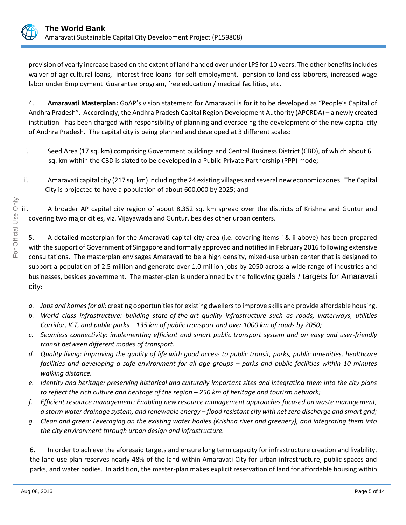

provision of yearly increase based on the extent of land handed over under LPS for 10 years. The other benefits includes waiver of agricultural loans, interest free loans for self-employment, pension to landless laborers, increased wage labor under Employment Guarantee program, free education / medical facilities, etc.

4. **Amaravati Masterplan:** GoAP's vision statement for Amaravati is for it to be developed as "People's Capital of Andhra Pradesh". Accordingly, the Andhra Pradesh Capital Region Development Authority (APCRDA) – a newly created institution - has been charged with responsibility of planning and overseeing the development of the new capital city of Andhra Pradesh. The capital city is being planned and developed at 3 different scales:

- i. Seed Area (17 sq. km) comprising Government buildings and Central Business District (CBD), of which about 6 sq. km within the CBD is slated to be developed in a Public-Private Partnership (PPP) mode;
- ii. Amaravati capital city (217 sq. km) including the 24 existing villages and several new economic zones. The Capital City is projected to have a population of about 600,000 by 2025; and

A broader AP capital city region of about 8,352 sq. km spread over the districts of Krishna and Guntur and covering two major cities, viz. Vijayawada and Guntur, besides other urban centers.

5. A detailed masterplan for the Amaravati capital city area (i.e. covering items i & ii above) has been prepared with the support of Government of Singapore and formally approved and notified in February 2016 following extensive consultations. The masterplan envisages Amaravati to be a high density, mixed-use urban center that is designed to support a population of 2.5 million and generate over 1.0 million jobs by 2050 across a wide range of industries and businesses, besides government. The master-plan is underpinned by the following goals / targets for Amaravati city:

- *a. Jobs and homes for all:* creating opportunities for existing dwellers to improve skills and provide affordable housing.
- *b. World class infrastructure: building state-of-the-art quality infrastructure such as roads, waterways, utilities Corridor, ICT, and public parks – 135 km of public transport and over 1000 km of roads by 2050;*
- *c. Seamless connectivity: implementing efficient and smart public transport system and an easy and user-friendly transit between different modes of transport.*
- *d. Quality living: improving the quality of life with good access to public transit, parks, public amenities, healthcare facilities and developing a safe environment for all age groups – parks and public facilities within 10 minutes walking distance.*
- *e. Identity and heritage: preserving historical and culturally important sites and integrating them into the city plans to reflect the rich culture and heritage of the region – 250 km of heritage and tourism network;*
- *f. Efficient resource management: Enabling new resource management approaches focused on waste management, a storm water drainage system, and renewable energy – flood resistant city with net zero discharge and smart grid;*
- *g. Clean and green: Leveraging on the existing water bodies (Krishna river and greenery), and integrating them into the city environment through urban design and infrastructure.*

6. In order to achieve the aforesaid targets and ensure long term capacity for infrastructure creation and livability, the land use plan reserves nearly 48% of the land within Amaravati City for urban infrastructure, public spaces and parks, and water bodies. In addition, the master-plan makes explicit reservation of land for affordable housing within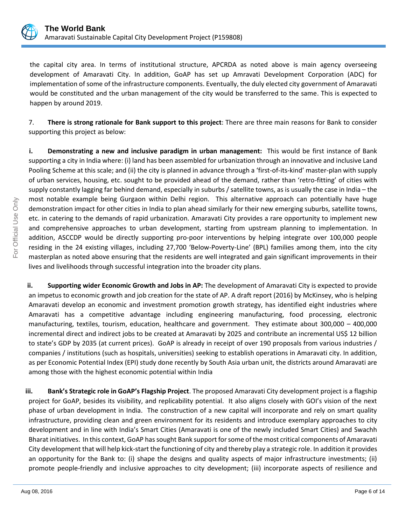

the capital city area. In terms of institutional structure, APCRDA as noted above is main agency overseeing development of Amaravati City. In addition, GoAP has set up Amravati Development Corporation (ADC) for implementation of some of the infrastructure components. Eventually, the duly elected city government of Amaravati would be constituted and the urban management of the city would be transferred to the same. This is expected to happen by around 2019.

7. **There is strong rationale for Bank support to this project**: There are three main reasons for Bank to consider supporting this project as below:

**i. Demonstrating a new and inclusive paradigm in urban management:** This would be first instance of Bank supporting a city in India where: (i) land has been assembled for urbanization through an innovative and inclusive Land Pooling Scheme at this scale; and (ii) the city is planned in advance through a 'first-of-its-kind' master-plan with supply of urban services, housing, etc. sought to be provided ahead of the demand, rather than 'retro-fitting' of cities with supply constantly lagging far behind demand, especially in suburbs / satellite towns, as is usually the case in India – the most notable example being Gurgaon within Delhi region. This alternative approach can potentially have huge demonstration impact for other cities in India to plan ahead similarly for their new emerging suburbs, satellite towns, etc. in catering to the demands of rapid urbanization. Amaravati City provides a rare opportunity to implement new and comprehensive approaches to urban development, starting from upstream planning to implementation. In addition, ASCCDP would be directly supporting pro-poor interventions by helping integrate over 100,000 people residing in the 24 existing villages, including 27,700 'Below-Poverty-Line' (BPL) families among them, into the city masterplan as noted above ensuring that the residents are well integrated and gain significant improvements in their lives and livelihoods through successful integration into the broader city plans.

**ii. Supporting wider Economic Growth and Jobs in AP:** The development of Amaravati City is expected to provide an impetus to economic growth and job creation for the state of AP. A draft report (2016) by McKinsey, who is helping Amaravati develop an economic and investment promotion growth strategy, has identified eight industries where Amaravati has a competitive advantage including engineering manufacturing, food processing, electronic manufacturing, textiles, tourism, education, healthcare and government. They estimate about 300,000 – 400,000 incremental direct and indirect jobs to be created at Amaravati by 2025 and contribute an incremental US\$ 12 billion to state's GDP by 2035 (at current prices). GoAP is already in receipt of over 190 proposals from various industries / companies / institutions (such as hospitals, universities) seeking to establish operations in Amaravati city. In addition, as per Economic Potential Index (EPI) study done recently by South Asia urban unit, the districts around Amaravati are among those with the highest economic potential within India

**iii. Bank's Strategic role in GoAP's Flagship Project**. The proposed Amaravati City development project is a flagship project for GoAP, besides its visibility, and replicability potential. It also aligns closely with GOI's vision of the next phase of urban development in India. The construction of a new capital will incorporate and rely on smart quality infrastructure, providing clean and green environment for its residents and introduce exemplary approaches to city development and in line with India's Smart Cities (Amaravati is one of the newly included Smart Cities) and Swachh Bharat initiatives. In this context, GoAP has sought Bank support forsome ofthe most critical components of Amaravati City development that will help kick-start the functioning of city and thereby play a strategic role. In addition it provides an opportunity for the Bank to: (i) shape the designs and quality aspects of major infrastructure investments; (ii) promote people-friendly and inclusive approaches to city development; (iii) incorporate aspects of resilience and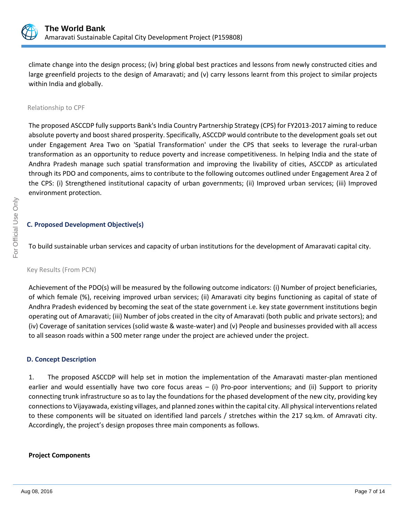

climate change into the design process; (iv) bring global best practices and lessons from newly constructed cities and large greenfield projects to the design of Amaravati; and (v) carry lessons learnt from this project to similar projects within India and globally.

#### Relationship to CPF

The proposed ASCCDP fully supports Bank's India Country Partnership Strategy (CPS) for FY2013-2017 aiming to reduce absolute poverty and boost shared prosperity. Specifically, ASCCDP would contribute to the development goals set out under Engagement Area Two on 'Spatial Transformation' under the CPS that seeks to leverage the rural-urban transformation as an opportunity to reduce poverty and increase competitiveness. In helping India and the state of Andhra Pradesh manage such spatial transformation and improving the livability of cities, ASCCDP as articulated through its PDO and components, aims to contribute to the following outcomes outlined under Engagement Area 2 of the CPS: (i) Strengthened institutional capacity of urban governments; (ii) Improved urban services; (iii) Improved environment protection.

# **C. Proposed Development Objective(s)**

To build sustainable urban services and capacity of urban institutions for the development of Amaravati capital city.

Key Results (From PCN)

Achievement of the PDO(s) will be measured by the following outcome indicators: (i) Number of project beneficiaries, of which female (%), receiving improved urban services; (ii) Amaravati city begins functioning as capital of state of Andhra Pradesh evidenced by becoming the seat of the state government i.e. key state government institutions begin operating out of Amaravati; (iii) Number of jobs created in the city of Amaravati (both public and private sectors); and (iv) Coverage of sanitation services (solid waste & waste-water) and (v) People and businesses provided with all access to all season roads within a 500 meter range under the project are achieved under the project.

## **D. Concept Description**

1. The proposed ASCCDP will help set in motion the implementation of the Amaravati master-plan mentioned earlier and would essentially have two core focus areas – (i) Pro-poor interventions; and (ii) Support to priority connecting trunk infrastructure so as to lay the foundations for the phased development of the new city, providing key connections to Vijayawada, existing villages, and planned zones within the capital city. All physical interventions related to these components will be situated on identified land parcels / stretches within the 217 sq.km. of Amravati city. Accordingly, the project's design proposes three main components as follows.

## **Project Components**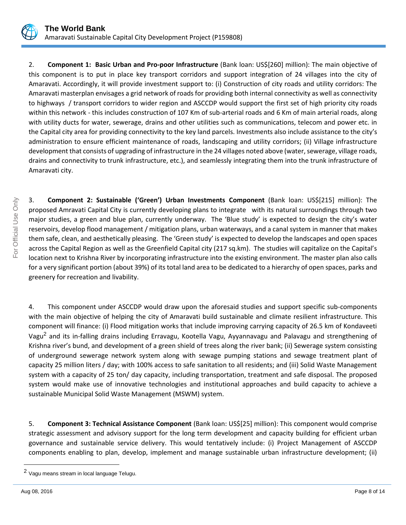

2. **Component 1: Basic Urban and Pro-poor Infrastructure** (Bank loan: US\$[260] million): The main objective of this component is to put in place key transport corridors and support integration of 24 villages into the city of Amaravati. Accordingly, it will provide investment support to: (i) Construction of city roads and utility corridors: The Amaravati masterplan envisages a grid network of roads for providing both internal connectivity as well as connectivity to highways / transport corridors to wider region and ASCCDP would support the first set of high priority city roads within this network - this includes construction of 107 Km of sub-arterial roads and 6 Km of main arterial roads, along with utility ducts for water, sewerage, drains and other utilities such as communications, telecom and power etc. in the Capital city area for providing connectivity to the key land parcels. Investments also include assistance to the city's administration to ensure efficient maintenance of roads, landscaping and utility corridors; (ii) Village infrastructure development that consists of upgrading of infrastructure in the 24 villages noted above (water, sewerage, village roads, drains and connectivity to trunk infrastructure, etc.), and seamlessly integrating them into the trunk infrastructure of Amaravati city.

3. **Component 2: Sustainable ('Green') Urban Investments Component** (Bank loan: US\$[215] million): The proposed Amravati Capital City is currently developing plans to integrate with its natural surroundings through two major studies, a green and blue plan, currently underway. The 'Blue study' is expected to design the city's water reservoirs, develop flood management / mitigation plans, urban waterways, and a canal system in manner that makes them safe, clean, and aesthetically pleasing. The 'Green study' is expected to develop the landscapes and open spaces across the Capital Region as well as the Greenfield Capital city (217 sq.km). The studies will capitalize on the Capital's location next to Krishna River by incorporating infrastructure into the existing environment. The master plan also calls for a very significant portion (about 39%) of its total land area to be dedicated to a hierarchy of open spaces, parks and greenery for recreation and livability.

4. This component under ASCCDP would draw upon the aforesaid studies and support specific sub-components with the main objective of helping the city of Amaravati build sustainable and climate resilient infrastructure. This component will finance: (i) Flood mitigation works that include improving carrying capacity of 26.5 km of Kondaveeti Vagu<sup>2</sup> and its in-falling drains including Erravagu, Kootella Vagu, Ayyannavagu and Palavagu and strengthening of Krishna river's bund, and development of a green shield of trees along the river bank; (ii) Sewerage system consisting of underground sewerage network system along with sewage pumping stations and sewage treatment plant of capacity 25 million liters / day; with 100% access to safe sanitation to all residents; and (iii) Solid Waste Management system with a capacity of 25 ton/ day capacity, including transportation, treatment and safe disposal. The proposed system would make use of innovative technologies and institutional approaches and build capacity to achieve a sustainable Municipal Solid Waste Management (MSWM) system.

5. **Component 3: Technical Assistance Component** (Bank loan: US\$[25] million): This component would comprise strategic assessment and advisory support for the long term development and capacity building for efficient urban governance and sustainable service delivery. This would tentatively include: (i) Project Management of ASCCDP components enabling to plan, develop, implement and manage sustainable urban infrastructure development; (ii)

 $\overline{a}$ 

<sup>2</sup> Vagu means stream in local language Telugu.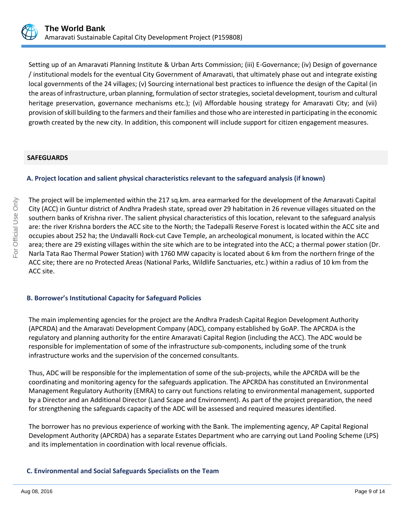

Setting up of an Amaravati Planning Institute & Urban Arts Commission; (iii) E-Governance; (iv) Design of governance / institutional models for the eventual City Government of Amaravati, that ultimately phase out and integrate existing local governments of the 24 villages; (v) Sourcing international best practices to influence the design of the Capital (in the areas of infrastructure, urban planning, formulation of sector strategies, societal development, tourism and cultural heritage preservation, governance mechanisms etc.); (vi) Affordable housing strategy for Amaravati City; and (vii) provision of skill building to the farmers and their families and those who are interested in participating in the economic growth created by the new city. In addition, this component will include support for citizen engagement measures.

#### **SAFEGUARDS**

# **A. Project location and salient physical characteristics relevant to the safeguard analysis (if known)**

The project will be implemented within the 217 sq.km. area earmarked for the development of the Amaravati Capital City (ACC) in Guntur district of Andhra Pradesh state, spread over 29 habitation in 26 revenue villages situated on the southern banks of Krishna river. The salient physical characteristics of this location, relevant to the safeguard analysis are: the river Krishna borders the ACC site to the North; the Tadepalli Reserve Forest is located within the ACC site and occupies about 252 ha; the Undavalli Rock-cut Cave Temple, an archeological monument, is located within the ACC area; there are 29 existing villages within the site which are to be integrated into the ACC; a thermal power station (Dr. Narla Tata Rao Thermal Power Station) with 1760 MW capacity is located about 6 km from the northern fringe of the ACC site; there are no Protected Areas (National Parks, Wildlife Sanctuaries, etc.) within a radius of 10 km from the ACC site.

## **B. Borrower's Institutional Capacity for Safeguard Policies**

The main implementing agencies for the project are the Andhra Pradesh Capital Region Development Authority (APCRDA) and the Amaravati Development Company (ADC), company established by GoAP. The APCRDA is the regulatory and planning authority for the entire Amaravati Capital Region (including the ACC). The ADC would be responsible for implementation of some of the infrastructure sub-components, including some of the trunk infrastructure works and the supervision of the concerned consultants.

Thus, ADC will be responsible for the implementation of some of the sub-projects, while the APCRDA will be the coordinating and monitoring agency for the safeguards application. The APCRDA has constituted an Environmental Management Regulatory Authority (EMRA) to carry out functions relating to environmental management, supported by a Director and an Additional Director (Land Scape and Environment). As part of the project preparation, the need for strengthening the safeguards capacity of the ADC will be assessed and required measures identified.

The borrower has no previous experience of working with the Bank. The implementing agency, AP Capital Regional Development Authority (APCRDA) has a separate Estates Department who are carrying out Land Pooling Scheme (LPS) and its implementation in coordination with local revenue officials.

# **C. Environmental and Social Safeguards Specialists on the Team**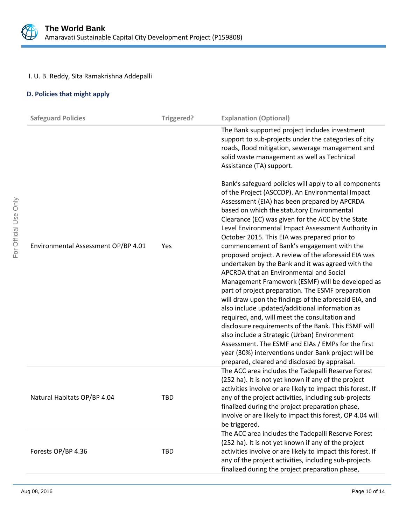

# I. U. B. Reddy, Sita Ramakrishna Addepalli

# **D. Policies that might apply**

| <b>Safeguard Policies</b>           | Triggered? | <b>Explanation (Optional)</b>                                                                                                                                                                                                                                                                                                                                                                                                                                                                                                                                                                                                                                                                                                                                                                                                                                                                        |
|-------------------------------------|------------|------------------------------------------------------------------------------------------------------------------------------------------------------------------------------------------------------------------------------------------------------------------------------------------------------------------------------------------------------------------------------------------------------------------------------------------------------------------------------------------------------------------------------------------------------------------------------------------------------------------------------------------------------------------------------------------------------------------------------------------------------------------------------------------------------------------------------------------------------------------------------------------------------|
|                                     |            | The Bank supported project includes investment<br>support to sub-projects under the categories of city<br>roads, flood mitigation, sewerage management and<br>solid waste management as well as Technical<br>Assistance (TA) support.                                                                                                                                                                                                                                                                                                                                                                                                                                                                                                                                                                                                                                                                |
| Environmental Assessment OP/BP 4.01 | Yes        | Bank's safeguard policies will apply to all components<br>of the Project (ASCCDP). An Environmental Impact<br>Assessment (EIA) has been prepared by APCRDA<br>based on which the statutory Environmental<br>Clearance (EC) was given for the ACC by the State<br>Level Environmental Impact Assessment Authority in<br>October 2015. This EIA was prepared prior to<br>commencement of Bank's engagement with the<br>proposed project. A review of the aforesaid EIA was<br>undertaken by the Bank and it was agreed with the<br>APCRDA that an Environmental and Social<br>Management Framework (ESMF) will be developed as<br>part of project preparation. The ESMF preparation<br>will draw upon the findings of the aforesaid EIA, and<br>also include updated/additional information as<br>required, and, will meet the consultation and<br>disclosure requirements of the Bank. This ESMF will |
|                                     |            | also include a Strategic (Urban) Environment<br>Assessment. The ESMF and EIAs / EMPs for the first<br>year (30%) interventions under Bank project will be<br>prepared, cleared and disclosed by appraisal.                                                                                                                                                                                                                                                                                                                                                                                                                                                                                                                                                                                                                                                                                           |
| Natural Habitats OP/BP 4.04         | <b>TBD</b> | The ACC area includes the Tadepalli Reserve Forest<br>(252 ha). It is not yet known if any of the project<br>activities involve or are likely to impact this forest. If<br>any of the project activities, including sub-projects<br>finalized during the project preparation phase,<br>involve or are likely to impact this forest, OP 4.04 will<br>be triggered.                                                                                                                                                                                                                                                                                                                                                                                                                                                                                                                                    |
| Forests OP/BP 4.36                  | <b>TBD</b> | The ACC area includes the Tadepalli Reserve Forest<br>(252 ha). It is not yet known if any of the project<br>activities involve or are likely to impact this forest. If<br>any of the project activities, including sub-projects<br>finalized during the project preparation phase,                                                                                                                                                                                                                                                                                                                                                                                                                                                                                                                                                                                                                  |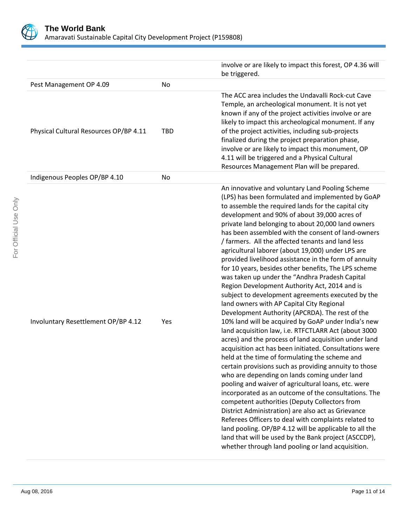

|                                        |            | involve or are likely to impact this forest, OP 4.36 will<br>be triggered.                                                                                                                                                                                                                                                                                                                                                                                                                                                                                                                                                                                                                                                                                                                                                                                                                                                                                                                                                                   |
|----------------------------------------|------------|----------------------------------------------------------------------------------------------------------------------------------------------------------------------------------------------------------------------------------------------------------------------------------------------------------------------------------------------------------------------------------------------------------------------------------------------------------------------------------------------------------------------------------------------------------------------------------------------------------------------------------------------------------------------------------------------------------------------------------------------------------------------------------------------------------------------------------------------------------------------------------------------------------------------------------------------------------------------------------------------------------------------------------------------|
| Pest Management OP 4.09                | <b>No</b>  |                                                                                                                                                                                                                                                                                                                                                                                                                                                                                                                                                                                                                                                                                                                                                                                                                                                                                                                                                                                                                                              |
| Physical Cultural Resources OP/BP 4.11 | <b>TBD</b> | The ACC area includes the Undavalli Rock-cut Cave<br>Temple, an archeological monument. It is not yet<br>known if any of the project activities involve or are<br>likely to impact this archeological monument. If any<br>of the project activities, including sub-projects<br>finalized during the project preparation phase,<br>involve or are likely to impact this monument, OP<br>4.11 will be triggered and a Physical Cultural<br>Resources Management Plan will be prepared.                                                                                                                                                                                                                                                                                                                                                                                                                                                                                                                                                         |
| Indigenous Peoples OP/BP 4.10          | No         |                                                                                                                                                                                                                                                                                                                                                                                                                                                                                                                                                                                                                                                                                                                                                                                                                                                                                                                                                                                                                                              |
| Involuntary Resettlement OP/BP 4.12    | Yes        | An innovative and voluntary Land Pooling Scheme<br>(LPS) has been formulated and implemented by GoAP<br>to assemble the required lands for the capital city<br>development and 90% of about 39,000 acres of<br>private land belonging to about 20,000 land owners<br>has been assembled with the consent of land-owners<br>/ farmers. All the affected tenants and land less<br>agricultural laborer (about 19,000) under LPS are<br>provided livelihood assistance in the form of annuity<br>for 10 years, besides other benefits, The LPS scheme<br>was taken up under the "Andhra Pradesh Capital<br>Region Development Authority Act, 2014 and is<br>subject to development agreements executed by the<br>land owners with AP Capital City Regional<br>Development Authority (APCRDA). The rest of the<br>10% land will be acquired by GoAP under India's new<br>land acquisition law, i.e. RTFCTLARR Act (about 3000<br>acres) and the process of land acquisition under land<br>acquisition act has been initiated. Consultations were |
|                                        |            | held at the time of formulating the scheme and<br>certain provisions such as providing annuity to those<br>who are depending on lands coming under land<br>pooling and waiver of agricultural loans, etc. were<br>incorporated as an outcome of the consultations. The<br>competent authorities (Deputy Collectors from<br>District Administration) are also act as Grievance<br>Referees Officers to deal with complaints related to<br>land pooling. OP/BP 4.12 will be applicable to all the<br>land that will be used by the Bank project (ASCCDP),<br>whether through land pooling or land acquisition.                                                                                                                                                                                                                                                                                                                                                                                                                                 |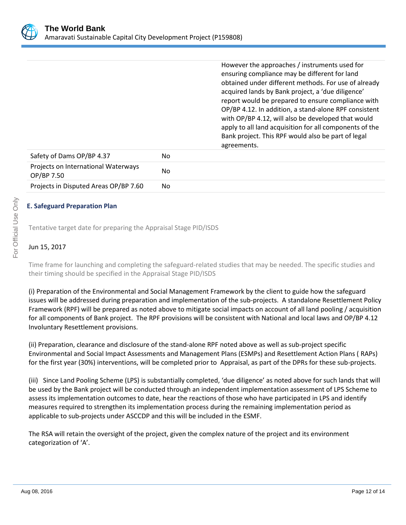

However the approaches / instruments used for ensuring compliance may be different for land obtained under different methods. For use of already acquired lands by Bank project, a 'due diligence' report would be prepared to ensure compliance with OP/BP 4.12. In addition, a stand-alone RPF consistent with OP/BP 4.12, will also be developed that would apply to all land acquisition for all components of the Bank project. This RPF would also be part of legal agreements.

| Safety of Dams OP/BP 4.37                         | No |
|---------------------------------------------------|----|
| Projects on International Waterways<br>OP/BP 7.50 | No |
| Projects in Disputed Areas OP/BP 7.60             | No |

# **E. Safeguard Preparation Plan**

Tentative target date for preparing the Appraisal Stage PID/ISDS

# Jun 15, 2017

Time frame for launching and completing the safeguard-related studies that may be needed. The specific studies and their timing should be specified in the Appraisal Stage PID/ISDS

(i) Preparation of the Environmental and Social Management Framework by the client to guide how the safeguard issues will be addressed during preparation and implementation of the sub-projects. A standalone Resettlement Policy Framework (RPF) will be prepared as noted above to mitigate social impacts on account of all land pooling / acquisition for all components of Bank project. The RPF provisions will be consistent with National and local laws and OP/BP 4.12 Involuntary Resettlement provisions.

(ii) Preparation, clearance and disclosure of the stand-alone RPF noted above as well as sub-project specific Environmental and Social Impact Assessments and Management Plans (ESMPs) and Resettlement Action Plans ( RAPs) for the first year (30%) interventions, will be completed prior to Appraisal, as part of the DPRs for these sub-projects.

(iii) Since Land Pooling Scheme (LPS) is substantially completed, 'due diligence' as noted above for such lands that will be used by the Bank project will be conducted through an independent implementation assessment of LPS Scheme to assess its implementation outcomes to date, hear the reactions of those who have participated in LPS and identify measures required to strengthen its implementation process during the remaining implementation period as applicable to sub-projects under ASCCDP and this will be included in the ESMF.

The RSA will retain the oversight of the project, given the complex nature of the project and its environment categorization of 'A'.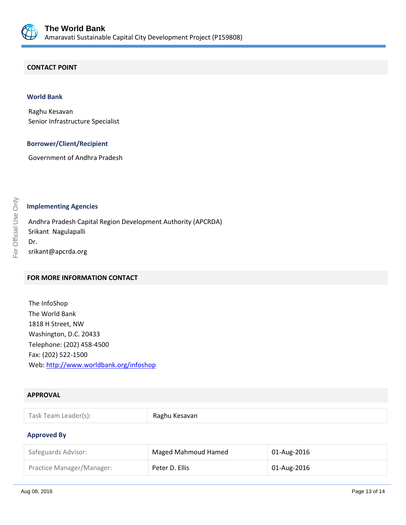

#### **CONTACT POINT**

#### **World Bank**

Raghu Kesavan Senior Infrastructure Specialist

#### **Borrower/Client/Recipient**

Government of Andhra Pradesh

#### **Implementing Agencies**

Andhra Pradesh Capital Region Development Authority (APCRDA) Srikant Nagulapalli Dr. srikant@apcrda.org

# **FOR MORE INFORMATION CONTACT**

The InfoShop The World Bank 1818 H Street, NW Washington, D.C. 20433 Telephone: (202) 458-4500 Fax: (202) 522-1500 Web[: http://www.worldbank.org/infoshop](http://www.worldbank.org/infoshop)

# **APPROVAL**

| Task Team Leader(s): | Raghu Kesavan |
|----------------------|---------------|
|                      |               |

#### **Approved By**

| Safeguards Advisor:       | Maged Mahmoud Hamed | 01-Aug-2016 |
|---------------------------|---------------------|-------------|
| Practice Manager/Manager: | Peter D. Ellis      | 01-Aug-2016 |